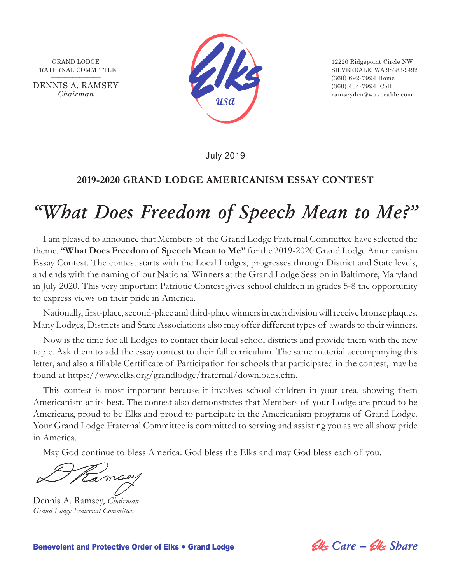

**———————** (360) 692-7994 Home *Chairman* ramseyden@wavecable.com

July 2019

#### **2019-2020 GRAND LODGE AMERICANISM ESSAY CONTEST**

## *"What Does Freedom of Speech Mean to Me?"*

I am pleased to announce that Members of the Grand Lodge Fraternal Committee have selected the theme, **"What Does Freedom of Speech Mean to Me"** for the 2019-2020 Grand Lodge Americanism Essay Contest. The contest starts with the Local Lodges, progresses through District and State levels, and ends with the naming of our National Winners at the Grand Lodge Session in Baltimore, Maryland in July 2020. This very important Patriotic Contest gives school children in grades 5-8 the opportunity to express views on their pride in America.

Nationally, first-place, second-place and third-place winners in each division will receive bronze plaques. Many Lodges, Districts and State Associations also may offer different types of awards to their winners.

Now is the time for all Lodges to contact their local school districts and provide them with the new topic. Ask them to add the essay contest to their fall curriculum. The same material accompanying this letter, and also a fillable Certificate of Participation for schools that participated in the contest, may be found at https://www.elks.org/grandlodge/fraternal/downloads.cfm.

This contest is most important because it involves school children in your area, showing them Americanism at its best. The contest also demonstrates that Members of your Lodge are proud to be Americans, proud to be Elks and proud to participate in the Americanism programs of Grand Lodge. Your Grand Lodge Fraternal Committee is committed to serving and assisting you as we all show pride in America.

May God continue to bless America. God bless the Elks and may God bless each of you.

amoey

Dennis A. Ramsey, *Chairman Grand Lodge Fraternal Committee*

**Benevolent and Protective Order of Elks • Grand Lodge** *Care – Clks Share*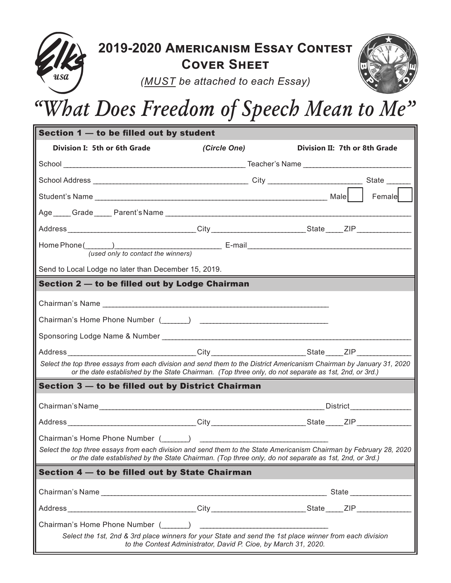

### **2019-2020 Americanism Essay Contest Cover Sheet**



*(MUST be attached to each Essay)*

# *"What Does Freedom of Speech Mean to Me"*

| Section 1 - to be filled out by student                                                                                                                                                                                        |                                                                 |                                                                                                                                                                                                                              |  |  |  |  |  |  |  |
|--------------------------------------------------------------------------------------------------------------------------------------------------------------------------------------------------------------------------------|-----------------------------------------------------------------|------------------------------------------------------------------------------------------------------------------------------------------------------------------------------------------------------------------------------|--|--|--|--|--|--|--|
| Division I: 5th or 6th Grade                                                                                                                                                                                                   | (Circle One)                                                    | Division II: 7th or 8th Grade                                                                                                                                                                                                |  |  |  |  |  |  |  |
|                                                                                                                                                                                                                                |                                                                 |                                                                                                                                                                                                                              |  |  |  |  |  |  |  |
|                                                                                                                                                                                                                                |                                                                 |                                                                                                                                                                                                                              |  |  |  |  |  |  |  |
|                                                                                                                                                                                                                                |                                                                 | Female                                                                                                                                                                                                                       |  |  |  |  |  |  |  |
|                                                                                                                                                                                                                                |                                                                 |                                                                                                                                                                                                                              |  |  |  |  |  |  |  |
|                                                                                                                                                                                                                                |                                                                 |                                                                                                                                                                                                                              |  |  |  |  |  |  |  |
| Home Phone (National Company of Company and Company of Company and Company and Company of Company and Company<br>(used only to contact the winners)                                                                            |                                                                 |                                                                                                                                                                                                                              |  |  |  |  |  |  |  |
| Send to Local Lodge no later than December 15, 2019.                                                                                                                                                                           |                                                                 |                                                                                                                                                                                                                              |  |  |  |  |  |  |  |
| Section 2 - to be filled out by Lodge Chairman                                                                                                                                                                                 |                                                                 |                                                                                                                                                                                                                              |  |  |  |  |  |  |  |
| Chairman's Name                                                                                                                                                                                                                |                                                                 |                                                                                                                                                                                                                              |  |  |  |  |  |  |  |
|                                                                                                                                                                                                                                |                                                                 |                                                                                                                                                                                                                              |  |  |  |  |  |  |  |
|                                                                                                                                                                                                                                |                                                                 |                                                                                                                                                                                                                              |  |  |  |  |  |  |  |
|                                                                                                                                                                                                                                |                                                                 |                                                                                                                                                                                                                              |  |  |  |  |  |  |  |
| Select the top three essays from each division and send them to the District Americanism Chairman by January 31, 2020<br>or the date established by the State Chairman. (Top three only, do not separate as 1st, 2nd, or 3rd.) |                                                                 |                                                                                                                                                                                                                              |  |  |  |  |  |  |  |
| Section 3 — to be filled out by District Chairman                                                                                                                                                                              |                                                                 |                                                                                                                                                                                                                              |  |  |  |  |  |  |  |
|                                                                                                                                                                                                                                |                                                                 |                                                                                                                                                                                                                              |  |  |  |  |  |  |  |
| Address _________________________________City __________________________State _____ZIP __________________                                                                                                                      |                                                                 |                                                                                                                                                                                                                              |  |  |  |  |  |  |  |
| Chairman's Home Phone Number (Computer )                                                                                                                                                                                       |                                                                 |                                                                                                                                                                                                                              |  |  |  |  |  |  |  |
|                                                                                                                                                                                                                                |                                                                 | Select the top three essays from each division and send them to the State Americanism Chairman by February 28, 2020<br>or the date established by the State Chairman. (Top three only, do not separate as 1st, 2nd, or 3rd.) |  |  |  |  |  |  |  |
| Section 4 - to be filled out by State Chairman                                                                                                                                                                                 |                                                                 |                                                                                                                                                                                                                              |  |  |  |  |  |  |  |
|                                                                                                                                                                                                                                |                                                                 |                                                                                                                                                                                                                              |  |  |  |  |  |  |  |
|                                                                                                                                                                                                                                |                                                                 |                                                                                                                                                                                                                              |  |  |  |  |  |  |  |
| Chairman's Home Phone Number ( )                                                                                                                                                                                               |                                                                 |                                                                                                                                                                                                                              |  |  |  |  |  |  |  |
|                                                                                                                                                                                                                                | to the Contest Administrator, David P. Cioe, by March 31, 2020. | Select the 1st, 2nd & 3rd place winners for your State and send the 1st place winner from each division                                                                                                                      |  |  |  |  |  |  |  |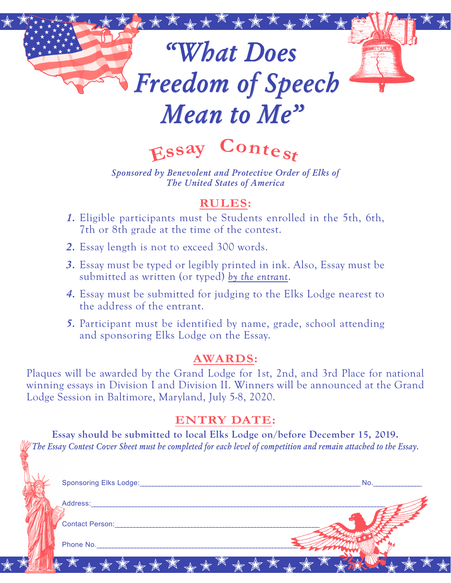# \*\*\*\*\*\*\*\*\*\*\*\*\*\*\*\*\*\*\*\*\*\*\*\*\*\*\*\*\*\*\*\* *"What Does Freedom of Speech Mean to Me"*

**<sup>E</sup>ss<sup>a</sup><sup>y</sup> <sup>C</sup>ontes<sup>t</sup>**

*Sponsored by Benevolent and Protective Order of Elks of The United States of America*

#### **RULES:**

- *1.* Eligible participants must be Students enrolled in the 5th, 6th, 7th or 8th grade at the time of the contest.
- *2.* Essay length is not to exceed 300 words.
- *3.* Essay must be typed or legibly printed in ink. Also, Essay must be submitted as written (or typed) *by the entrant*.
- *4.* Essay must be submitted for judging to the Elks Lodge nearest to the address of the entrant.
- *5.* Participant must be identified by name, grade, school attending and sponsoring Elks Lodge on the Essay.

#### **AWARDS:**

Plaques will be awarded by the Grand Lodge for 1st, 2nd, and 3rd Place for national winning essays in Division I and Division II. Winners will be announced at the Grand Lodge Session in Baltimore, Maryland, July 5-8, 2020.

#### **ENTRY DATE:**

**Essay should be submitted to local Elks Lodge on/before December 15, 2019.** *The Essay Contest Cover Sheet must be completed for each level of competition and remain attached to the Essay.*

|          | <b>Sponsoring Elks Lodge:</b> |         |                      | No. |  |
|----------|-------------------------------|---------|----------------------|-----|--|
|          | Address:                      |         |                      |     |  |
|          | <b>Contact Person:</b>        |         |                      |     |  |
|          | Phone No.                     |         |                      |     |  |
| $\Delta$ | SA                            | ******* | $\blacktriangledown$ |     |  |
|          |                               |         |                      |     |  |